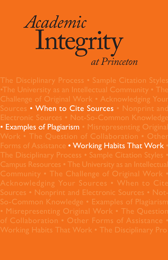

Sources • When to Cite Sources • Nonprint and • Examples of Plagiarism • Misrepresenting Original Forms of Assistance • Working Habits That Work ·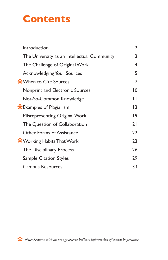# **Contents**

| Introduction                                | $\overline{2}$ |
|---------------------------------------------|----------------|
| The University as an Intellectual Community | 3              |
| The Challenge of Original Work              | 4              |
| <b>Acknowledging Your Sources</b>           | 5              |
| <b>X</b> When to Cite Sources               | 7              |
| Nonprint and Electronic Sources             | 10             |
| Not-So-Common Knowledge                     | П              |
| <b>*Examples of Plagiarism</b>              | 13             |
| Misrepresenting Original Work               | 19             |
| The Question of Collaboration               | 21             |
| <b>Other Forms of Assistance</b>            | 22             |
| <b>X</b> Working Habits That Work           | 23             |
| The Disciplinary Process                    | 26             |
| <b>Sample Citation Styles</b>               | 29             |
| <b>Campus Resources</b>                     | 33             |

*Note: Sections with an orange asterik indicate information of special importance.* **\***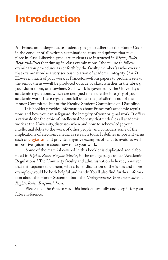# **Introduction**

All Princeton undergraduate students pledge to adhere to the Honor Code in the conduct of all written examinations, tests, and quizzes that take place in class. Likewise, graduate students are instructed in *Rights, Rules, Responsibilities* that during in-class examinations, "the failure to follow examination procedures as set forth by the faculty member(s) who oversee that examination" is a very serious violation of academic integrity. (2.4.7) However, much of your work at Princeton—from papers to problem sets to the senior thesis—will be produced outside of class, whether in the library, your dorm room, or elsewhere. Such work is governed by the University's academic regulations, which are designed to ensure the integrity of your academic work. These regulations fall under the jurisdiction not of the Honor Committee, but of the Faculty-Student Committee on Discipline.

This booklet provides information about Princeton's academic regulations and how you can safeguard the integrity of your original work. It offers a rationale for the ethic of intellectual honesty that underlies all academic work at the University, discusses when and how to acknowledge your intellectual debts to the work of other people, and considers some of the implications of electronic media as research tools. It defines important terms such as **plagiarism** and provides negative examples of what to avoid as well as positive guidance about how to do your work.

Some of the material covered in this booklet is duplicated and elaborated in *Rights, Rules, Responsibilities*, in the orange pages under "Academic Regulations." The University faculty and administration believed, however, that this separate document, with a fuller discussion of the issues and more examples, would be both helpful and handy. You'll also find further information about the Honor System in both the *Undergraduate Announcement* and *Rights, Rules, Responsibilities.*

Please take the time to read this booklet carefully and keep it for your future reference.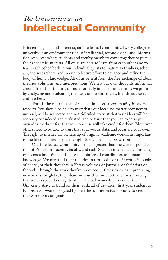## *The University as an* **Intellectual Community**

Princeton is, first and foremost, an intellectual community. Every college or university is an environment rich in intellectual, technological, and information resources where students and faculty members come together to pursue their academic interests. All of us are here to learn from each other and to teach each other, both in our individual quests to mature as thinkers, scholars, and researchers, and in our collective effort to advance and refine the body of human knowledge. All of us benefit from the free exchange of ideas, theories, solutions, and interpretations. We test our own thoughts informally among friends or in class, or more formally in papers and exams; we profit by analyzing and evaluating the ideas of our classmates, friends, advisers, and teachers.

Trust is the central ethic of such an intellectual community, in several respects. You should be able to trust that your ideas, no matter how new or unusual, will be respected and not ridiculed; to trust that your ideas will be seriously considered and evaluated; and to trust that you can express your own ideas without fear that someone else will take credit for them. Moreover, others need to be able to trust that your words, data, and ideas are your own. The right to intellectual ownership of original academic work is as important to the life of a university as the right to own personal possessions.

Our intellectual community is much greater than the current population of Princeton students, faculty, and staff. Such an intellectual community transcends both time and space to embrace all contributors to human knowledge. We may find their theories in textbooks, or their words in books of poetry, or their thoughts in library volumes or journals, or their data on the web. Through the work they've produced in times past or are producing now across the globe, they share with us their intellectual efforts, trusting that we'll respect their rights of intellectual ownership. As we at the University strive to build on their work, all of us—from first-year student to full professor—are obligated by the ethic of intellectual honesty to credit that work to its originator.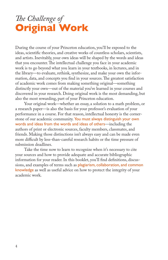# *The Challenge of*  **Original Work**

During the course of your Princeton education, you'll be exposed to the ideas, scientific theories, and creative works of countless scholars, scientists, and artists. Inevitably, your own ideas will be shaped by the words and ideas that you encounter. The intellectual challenge you face in your academic work is to go beyond what you learn in your textbooks, in lectures, and in the library—to evaluate, rethink, synthesize, and make your own the information, data, and concepts you find in your sources. The greatest satisfaction of academic work comes from making something original—something distinctly your own—out of the material you've learned in your courses and discovered in your research. Doing original work is the most demanding, but also the most rewarding, part of your Princeton education.

Your original work—whether an essay, a solution to a math problem, or a research paper—is also the basis for your professor's evaluation of your performance in a course. For that reason, intellectual honesty is the cornerstone of our academic community. You must always distinguish your own words and ideas from the words and ideas of others—including the authors of print or electronic sources, faculty members, classmates, and friends. Making those distinctions isn't always easy and can be made even more difficult by less-than-careful research habits or the time pressure of submission deadlines.

Take the time now to learn to recognize when it's necessary to cite your sources and how to provide adequate and accurate bibliographic information for your reader. In this booklet, you'll find definitions, discussions, and examples of terms such as plagiarism, collaboration, and common knowledge as well as useful advice on how to protect the integrity of your academic work.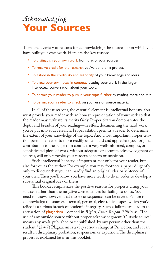# *Acknowledging*  **Your Sources**

There are a variety of reasons for acknowledging the sources upon which you have built your own work. Here are the key reasons:

- To distinguish your own work from that of your sources.
- To receive credit for the research you've done on a project.
- To establish the credibility and authority of your knowledge and ideas.
- To place your own ideas in context, locating your work in the larger intellectual conversation about your topic.
- To permit your reader to pursue your topic further by reading more about it.
- To permit your reader to check on your use of source material.

In all of these reasons, the essential element is intellectual honesty. You must provide your reader with an honest representation of your work so that the reader may evaluate its merits fairly. Proper citation demonstrates the depth and breadth of your reading—in effect, documenting the hard work you've put into your research. Proper citation permits a reader to determine the extent of your knowledge of the topic. And, most important, proper citation permits a reader to more readily understand and appreciate your original contribution to the subject. In contrast, a very well-informed, complex, or sophisticated piece of work, without adequate or accurate acknowledgment of sources, will only provoke your reader's concern or suspicion.

Such intellectual honesty is important, not only for your reader, but also for you as the author. For example, you may footnote a paper diligently only to discover that you can hardly find an original idea or sentence of your own. Then you'll know you have more work to do in order to develop a substantial original idea or thesis.

This booklet emphasizes the positive reasons for properly citing your sources rather than the negative consequences for failing to do so. You need to know, however, that those consequences can be severe. Failure to acknowledge the sources—textual, personal, electronic—upon which you've relied is a serious breach of academic integrity. Such a failure can lead to the accusation of plagiarism—defined in *Rights, Rules, Responsibilities* as: "The use of any outside source without proper acknowledgment. 'Outside source' means any work, published or unpublished, by any person other than the student." (2.4.7) Plagiarism is a very serious charge at Princeton, and it can result in disciplinary probation, suspension, or expulsion. The disciplinary process is explained later in this booklet.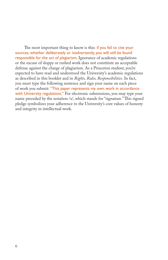The most important thing to know is this: if you fail to cite your sources, whether deliberately or inadvertently, you will still be found responsible for the act of plagiarism. Ignorance of academic regulations or the excuse of sloppy or rushed work does not constitute an acceptable defense against the charge of plagiarism. As a Princeton student, you're expected to have read and understood the University's academic regulations as described in this booklet and in *Rights, Rules, Responsibilities.* In fact, you must type the following sentence and sign your name on each piece of work you submit: "This paper represents my own work in accordance with University regulations." For electronic submissions, you may type your name preceded by the notation /s/, which stands for "signature." This signed pledge symbolizes your adherence to the University's core values of honesty and integrity in intellectual work.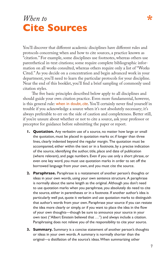## *When to*  **Cite Sources**

You'll discover that different academic disciplines have different rules and protocols concerning when and how to cite sources, a practice known as "citation." For example, some disciplines use footnotes, whereas others use parenthetical in-text citations; some require complete bibliographic information on all works consulted, whereas others require only a list of "Works Cited." As you decide on a concentration and begin advanced work in your department, you'll need to learn the particular protocols for your discipline. Near the end of this booklet, you'll find a brief sampling of commonly used citation styles.

The five basic principles described below apply to all disciplines and should guide your own citation practice. Even more fundamental, however, is this general rule: when in doubt, *cite.* You'll certainly never find yourself in trouble if you acknowledge a source when it's not absolutely necessary; it's always preferable to err on the side of caution and completeness. Better still, if you're unsure about whether or not to cite a source, ask your professor or preceptor for guidance before submitting the paper or report.

- **1. Quotation.** Any verbatim use of a source, no matter how large or small the quotation, must be placed in quotation marks or, if longer than three lines, clearly indented beyond the regular margin. The quotation must be accompanied, either within the text or in a footnote, by a precise indication of the source, identifying the author, title, place and date of publication (where relevant), and page numbers. Even if you use only a short phrase, or even one key word, you must use quotation marks in order to set off the borrowed language from your own, and you must cite the source.
- **2. Paraphrase.** Paraphrase is a restatement of another person's thoughts or ideas in your own words, using your own sentence structure. A paraphrase is normally about the same length as the original. Although you don't need to use quotation marks when you paraphrase, you absolutely do need to cite the source, either in parentheses or in a footnote. If another author's idea is particularly well put, quote it verbatim and use quotation marks to distinguish that author's words from your own. Paraphrase your source if you can restate the idea more clearly or simply, or if you want to place the idea in the flow of your own thoughts—though be sure to announce your source in your own text ("Albert Einstein believed that …") and always include a citation. Paraphrasing does not relieve you of the responsibility to cite your source.
- **3. Summary.** Summary is a concise statement of another person's thoughts or ideas in your own words. A summary is normally shorter than the original—a distillation of the source's ideas. When summarizing other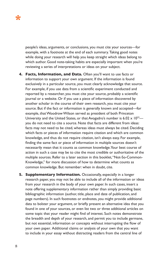people's ideas, arguments, or conclusions, you must cite your sources—for example, with a footnote at the end of each summary. Taking good notes while doing your research will help you keep straight which ideas belong to which author. Good note-taking habits are especially important when you're reviewing a series of interpretations or ideas on your subject.

- **4. Facts, Information, and Data.** Often you'll want to use facts or information to support your own argument. If the information is found exclusively in a particular source, you must clearly acknowledge that source. For example, if you use data from a scientific experiment conducted and reported by a researcher, you must cite your source, probably a scientific journal or a website. Or if you use a piece of information discovered by another scholar in the course of their own research, you must cite your source. But if the fact or information is generally known and accepted—for example, that Woodrow Wilson served as president of both Princeton University and the United States, or that Avogadro's number is  $6.02 \times 10^{23}$  you do not need to cite a source. Note that facts are different from ideas: facts may not need to be cited, whereas ideas must always be cited. Deciding which facts or pieces of information require citation and which are common knowledge, and thus do not require citation, isn't always easy. For example, finding the same fact or piece of information in multiple sources doesn't necessarily mean that it counts as common knowledge. Your best course of action in such a case may be to cite the most credible or authoritative of the multiple sources. Refer to a later section in this booklet, "Not-So-Common-Knowledge," for more discussion of how to determine what counts as common knowledge. But remember: when in doubt, cite.
- **5. Supplementary Information.** Occasionally, especially in a longer research paper, you may not be able to include all of the information or ideas from your research in the body of your own paper. In such cases, insert a note offering supplementary information rather than simply providing basic bibliographic information (author, title, place and date of publication, and page numbers). In such footnotes or endnotes, you might provide additional data to bolster your argument, or briefly present an alternative idea that you found in one of your sources, or even list two or three additional articles on some topic that your reader might find of interest. Such notes demonstrate the breadth and depth of your research, and permit you to include germane, but not essential, information or concepts without interrupting the flow of your own paper. Additional claims or analysis of your own that you want to include in your essay without distracting readers from the central line of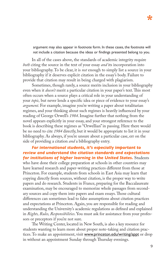argument may also appear in footnote form. In these cases, the footnote will *not* include a citation because the ideas or findings presented belong to you.

In all of the cases above, the standards of academic integrity require *both* citing the source in the text of your essay *and* its incorporation into your bibliography. To be clear, it is *not* enough to simply list a source in your bibliography if it deserves explicit citation in the essay's body. Failure to provide that citation may result in being charged with plagiarism.

Sometimes, though rarely, a source merits inclusion in your bibliography even when it *doesn't* merit a particular citation in your paper's text. This most often occurs when a source plays a critical role in your understanding of your *topic,* but never lends a specific idea or piece of evidence to your essay's *argument*. For example, imagine you're writing a paper about totalitarian regimes, and your thinking about such regimes is heavily influenced by your reading of George Orwell's *1984*. Imagine further that nothing from the novel appears explicitly in your essay, and your strongest reference to the book is describing these regimes as "Orwellian" in passing. Here there would be no need to cite *1984* directly, but it would be appropriate to list it in your bibliography. As always, if you're unsure about a particular case, err on the side of providing a citation *and* a bibliography entry.

*For international students, it's especially important to review and understand the citation standards and expectations for institutions of higher learning in the United States.* Students who have done their college preparation at schools in other countries may have learned research and paper-writing practices different from those at Princeton. For example, students from schools in East Asia may learn that copying directly from sources, without citation, is the proper way to write papers and do research. Students in France, preparing for the Baccalaureate examination, may be encouraged to memorize whole passages from secondary sources and copy them into papers and exam essays. Those cultural differences can sometimes lead to false assumptions about citation practices and expectations at Princeton. Again, you are responsible for reading and understanding the University's academic regulations as defined and explained in *Rights, Rules, Responsibilities*. You must ask for assistance from your professors or preceptors if you're not sure.

The Writing Center, located in New South, is also a key resource for students wanting to learn more about proper note-taking and citation practices. To make an appointment, visit **[www.princeton.edu/writing/appt](https://writing.princeton.edu/center)** or drop in without an appointment Sunday through Thursday evenings.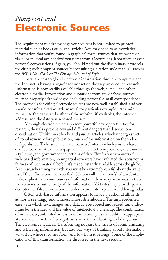## *Nonprint and*  **Electronic Sources**

The requirement to acknowledge your sources is not limited to printed material such as books or journal articles. You may need to acknowledge information that you've found in graphical form, sources that are works of visual or musical art, handwritten notes from a lecture or a laboratory, or even personal conversations. Again, you should find out the disciplinary protocols for citing such nonprint sources by consulting a citation style manual, such as the *MLA Handbook* or *The Chicago Manual of Style.*

Instant access to global electronic information through computers and the Internet is having a significant impact on the way we conduct research. Information is now readily available through the web, e-mail, and other electronic media. Information and quotations from any of these sources must be properly acknowledged, including personal e-mail correspondence. The protocols for citing electronic sources are now well-established, and you should consult a citation style manual for particular examples. At a minimum, cite the name and author of the website (if available), the Internet address, and the date you accessed the site.

Although electronic media present powerful new opportunities for research, they also present new and different dangers that deserve some consideration. Unlike most books and journal articles, which undergo strict editorial review before publication, much of the information on the web is self-published. To be sure, there are many websites in which you can have confidence: mainstream newspapers, refereed electronic journals, and university, library, and government collections of data. But for vast amounts of web-based information, no impartial reviewers have evaluated the accuracy or fairness of such material before it's made instantly available across the globe. As a researcher using the web, you must be extremely careful about the validity of the information that you find. Seldom will the author(s) of a website make explicit their own sources of information; there may be no way to trace the accuracy or authenticity of the information. Websites may provide partial, deceptive, or false information in order to promote explicit or hidden agendas.

Often web-based information appears to have no author at all, or its author is seemingly anonymous, almost disembodied. The unprecedented ease with which text, images, and data can be copied and reused can undermine both the idea and the value of intellectual ownership. The combination of immediate, unlimited access to information, plus the ability to appropriate and alter it with a few keystrokes, is both exhilarating and dangerous. The electronic media are transforming not just the means of communicating and retrieving information, but also our ways of thinking about information: what it is, where it comes from, and to whom it belongs. Some of the implications of this transformation are discussed in the next section.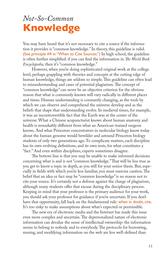# *Not-So-Common*  **Knowledge**

You may have heard that it's not necessary to cite a source if the information it provides is "common knowledge." In theory, this guideline is valid. (See principle #4 in "When to Cite Sources.") In high school, the guideline is often further simplified: if you can find the information in *The World Book Encyclopedia,* then it's "common knowledge."

However, when you're doing sophisticated original work at the college level, perhaps grappling with theories and concepts at the cutting edge of human knowledge, things are seldom so simple. This guideline can often lead to misunderstanding and cases of potential plagiarism. The concept of "common knowledge" can never be an objective criterion for the obvious reason that what is commonly known will vary radically in different places and times. Human understanding is constantly changing, as the tools by which we can observe and comprehend the universe develop and as the beliefs that shape that understanding evolve. In medieval times, for example, it was an incontrovertible fact that the Earth was at the center of the universe. What a Chinese acupuncturist knows about human anatomy and health is remarkably different from what an American-trained surgeon knows. And what Princeton concentrators in molecular biology know today about the human genome would bewilder and astound Princeton biology students of only two generations ago. To complicate matters, each discipline has its own evolving definitions, and its own tests, for what constitutes a "fact." And even within disciplines, experts sometimes disagree.

The bottom line is that you may be unable to make informed decisions concerning what is and is not "common knowledge." That will be less true as you get to know a topic in depth, as you will for your senior thesis. But, especially in fields with which you're less familiar, you must exercise caution. The belief that an idea or fact may be "common knowledge" is no reason not to cite your source. It's certainly not a defense against the charge of plagiarism, although many students offer that excuse during the disciplinary process. Keeping in mind that your professor is the primary audience for your work, you should ask your professor for guidance if you're uncertain. If you don't have that opportunity, fall back on the fundamental rule: when in doubt, cite. It's too risky to make assumptions about what's expected or permissible.

The new era of electronic media and the Internet has made this issue even more complex and uncertain. The depersonalized nature of electronic information can devalue the sense of intellectual ownership: the information seems to belong to nobody and to everybody. The protocols for borrowing, reusing, and modifying information on the web are less well-defined than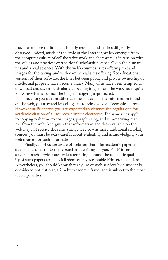they are in more traditional scholarly research and far less diligently observed. Indeed, much of the ethic of the Internet, which emerged from the computer culture of collaborative work and shareware, is in tension with the values and practices of traditional scholarship, especially in the humanities and social sciences. With the web's countless sites offering text and images for the taking, and with commercial sites offering free educational versions of their software, the lines between public and private ownership of intellectual property have become blurry. Many of us have been tempted to download and save a particularly appealing image from the web, never quite knowing whether or not the image is copyright-protected.

Because you can't readily trace the sources for the information found on the web, you may feel less obligated to acknowledge electronic sources. However, at Princeton, you are expected to observe the regulations for academic citation of all sources, print or electronic. The same rules apply to copying verbatim text or images, paraphrasing, and summarizing material from the web. And given that information and data available on the web may not receive the same stringent review as more traditional scholarly sources, you must be extra careful about evaluating and acknowledging your web sources for such information.

Finally, all of us are aware of websites that offer academic papers for sale or that offer to do the research and writing for you. For Princeton students, such services are far less tempting because the academic quality of such papers tends to fall short of any acceptable Princeton standard. Nevertheless, you should know that any use of such services by a student is considered not just plagiarism but academic fraud, and is subject to the most severe penalties.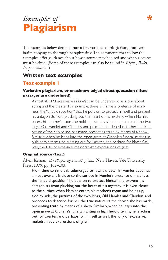# *Examples of*  **Plagiarism**

The examples below demonstrate a few varieties of plagiarism, from verbatim copying to thorough paraphrasing. The comments that follow the examples offer guidance about how a source may be used and when a source must be cited. (Some of these examples can also be found in *Rights, Rules, Responsibilities.*)

## **Written text examples**

## **Text example 1**

### **Verbatim plagiarism, or unacknowledged direct quotation (lifted passages are underlined)**

Almost all of Shakespeare's *Hamlet* can be understood as a play about acting and the theater. For example, there is **Hamlet's pretense of mad**ness, the "antic disposition" that he puts on to protect himself and prevent his antagonists from plucking out the heart of his mystery. When Hamlet enters his mother's room, he holds up, side by side, the pictures of the two kings, Old Hamlet and Claudius, and proceeds to describe for her the true nature of the choice she has made, presenting truth by means of a show. Similarly, when he leaps into the open grave at Ophelia's funeral, ranting in high heroic terms, he is acting out for Laertes, and perhaps for himself as well, the folly of excessive, melodramatic expressions of grief.

### **Original source (text)**

Alvin Kernan, *The Playwright as Magician*. New Haven: Yale University Press, 1979. pp. 102–103.

From time to time this submerged or latent theater in Hamlet becomes almost overt. It is close to the surface in Hamlet's pretense of madness, the "antic disposition" he puts on to protect himself and prevent his antagonists from plucking out the heart of his mystery. It is even closer to the surface when Hamlet enters his mother's room and holds up, side by side, the pictures of the two kings, Old Hamlet and Claudius, and proceeds to describe for her the true nature of the choice she has made, presenting truth by means of a show. Similarly, when he leaps into the open grave at Ophelia's funeral, ranting in high heroic terms, he is acting out for Laertes, and perhaps for himself as well, the folly of excessive, melodramatic expressions of grief.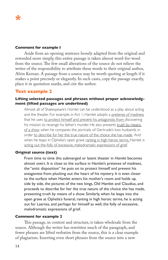#### **Comment for example I**

Aside from an opening sentence loosely adapted from the original and reworded more simply, this entire passage is taken almost word-for-word from the source. The few small alterations of the source do not relieve the writer of the responsibility to attribute these words to their original author, Alvin Kernan. A passage from a source may be worth quoting at length if it makes a point precisely or elegantly. In such cases, copy the passage exactly, place it in quotation marks, and cite the author.

### **Text example 2**

#### **Lifting selected passages and phrases without proper acknowledgment (lifted passages are underlined)**

Almost all of Shakespeare's *Hamlet* can be understood as a play about acting and the theater. For example, in Act 1, Hamlet adopts a pretense of madness that he uses to protect himself and prevent his antagonists from discovering his mission to revenge his father's murder. He also presents truth by means of a show when he compares the portraits of Gertrude's two husbands in order to describe for her the true nature of the choice she has made. And when he leaps in Ophelia's open grave ranting in high heroic terms. Hamlet is acting out the folly of excessive, melodramatic expressions of grief.

#### **Original source (text)**

From time to time this submerged or latent theater in *Hamlet* becomes almost overt. It is close to the surface in Hamlet's pretense of madness, the "antic disposition" he puts on to protect himself and prevent his antagonists from plucking out the heart of his mystery. It is even closer to the surface when Hamlet enters his mother's room and holds up, side by side, the pictures of the two kings, Old Hamlet and Claudius, and proceeds to describe for her the true nature of the choice she has made, presenting truth by means of a show. Similarly, when he leaps into the open grave at Ophelia's funeral, ranting in high heroic terms, he is acting out for Laertes, and perhaps for himself as well, the folly of excessive, melodramatic expressions of grief.

#### **Comment for example 2**

This passage, in content and structure, is taken wholesale from the source. Although the writer has rewritten much of the paragraph, and fewer phrases are lifted verbatim from the source, this is a clear example of plagiarism. Inserting even short phrases from the source into a new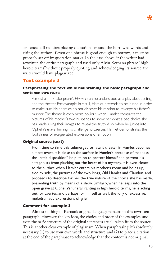sentence still requires placing quotations around the borrowed words and citing the author. If even one phrase is good enough to borrow, it must be properly set off by quotation marks. In the case above, if the writer had rewritten the entire paragraph and used only Alvin Kernan's phrase "high heroic terms" without properly quoting and acknowledging its source, the writer would have plagiarized.

### **Text example 3**

### **Paraphrasing the text while maintaining the basic paragraph and sentence structure**

Almost all of Shakespeare's *Hamlet* can be understood as a play about acting and the theater. For example, in Act 1, Hamlet pretends to be insane in order to make sure his enemies do not discover his mission to revenge his father's murder. The theme is even more obvious when Hamlet compares the pictures of his mother's two husbands to show her what a bad choice she has made, using their images to reveal the truth. Also, when he jumps into Ophelia's grave, hurling his challenge to Laertes, Hamlet demonstrates the foolishness of exaggerated expressions of emotion.

#### **Original source (text)**

From time to time this submerged or latent theater in Hamlet becomes almost overt. It is close to the surface in Hamlet's pretense of madness, the "antic disposition" he puts on to protect himself and prevent his antagonists from plucking out the heart of his mystery. It is even closer to the surface when Hamlet enters his mother's room and holds up, side by side, the pictures of the two kings, Old Hamlet and Claudius, and proceeds to describe for her the true nature of the choice she has made, presenting truth by means of a show. Similarly, when he leaps into the open grave at Ophelia's funeral, ranting in high heroic terms, he is acting out for Laertes, and perhaps for himself as well, the folly of excessive, melodramatic expressions of grief.

### **Comment for example 3**

Almost nothing of Kernan's original language remains in this rewritten paragraph. However, the key idea, the choice and order of the examples, and even the basic structure of the original sentences are all taken from the source. This is another clear example of plagiarism. When paraphrasing, it's absolutely necessary (1) to use your own words and structure, and (2) to place a citation at the end of the paraphrase to acknowledge that the content is not original.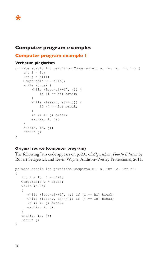

### **Computer program examples**

### **Computer program example 1**

#### **Verbatim plagiarism**

```
private static int partition(Comparable[] a, int lo, int hi) { 
    int i = lo;int j = h i+1; Comparable v = a[lo];
     while (true) {
        while (\text{less}(a[++i], v)) {
             if (i == hi) break;
 }
        while (\text{less}(v, a[--1])) {
            if (j == 10) break;
 }
        if (i \geq j) break;
        exch(a, i, j); }
    exch(a, lo, j); return j;
}
```
#### **Original source (computer program)**

The following Java code appears on p. 291 of *Algorithms, Fourth Edition* by Robert Sedgewick and Kevin Wayne, Addison−Wesley Professional, 2011.

```
private static int partition(Comparable[] a, int lo, int hi)
{ 
   int i = 10, j = h i + 1;
   Comparable v = a[lo];
    while (true)
    {
      while (\text{less}(a[++i], v)) if (i == hi) break;
      while (less(v, a[--j])) if (j == lo) break;
      if (i \ge j) break;
      exch(a, i, j); }
   exch(a, lo, j); return j;
}
```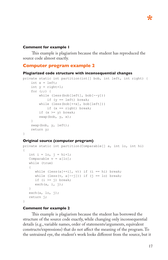#### **Comment for example 1**

This example is plagiarism because the student has reproduced the source code almost exactly.

#### **Computer program example 2**

#### **Plagiarized code structure with inconsequential changes**

```
private static int partition(int[] bob, int left, int right) { 
    int x = \text{left};
    int y = right+1;for (i; j) {
         while (less(bob[left], bob[--y]))
            if (y == left) break;
         while (less(bob[++x], bob[left]))
            if (x == right) break;
        if (x \ge y) break;
         swap(bob, y, x);
     }
     swap(bob, y, left);
     return y;
}
```
#### **Original source (computer program)**

```
private static int partition(Comparable[] a, int lo, int hi)
{ 
   int i = lo, j = hil+1;Comparable v = a[lo];
    while (true)
    {
      while (\text{less}(a[++i], v)) if (i == hi) break;
      while (less(v, a[--j])) if (j == lo) break;
      if (i \ge j) break;
      exch(a, i, j); }
   exch(a, lo, j); return j;
}
```
#### **Comment for example 2**

This example is plagiarism because the student has borrowed the structure of the source code exactly, while changing only inconsequential details (e.g., variable names, order of statements/arguments, equivalent constructs/expressions) that do not affect the meaning of the program. To the untrained eye, the student's work looks different from the source, but it

**\***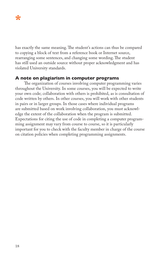has exactly the same meaning. The student's actions can thus be compared to copying a block of text from a reference book or Internet source, rearranging some sentences, and changing some wording. The student has still used an outside source without proper acknowledgment and has violated University standards.

### **A note on plagiarism in computer programs**

The organization of courses involving computer programming varies throughout the University. In some courses, you will be expected to write your own code; collaboration with others is prohibited, as is consultation of code written by others. In other courses, you will work with other students in pairs or in larger groups. In those cases where individual programs are submitted based on work involving collaboration, you must acknowledge the extent of the collaboration when the program is submitted. Expectations for citing the use of code in completing a computer programming assignment may vary from course to course, so it is particularly important for you to check with the faculty member in charge of the course on citation policies when completing programming assignments.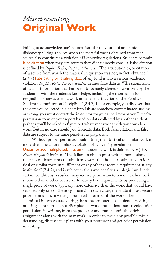# *Misrepresenting*  **Original Work**

Failing to acknowledge one's sources isn't the only form of academic dishonesty. Citing a source when the material wasn't obtained from that source also constitutes a violation of University regulations. Students commit false citation when they cite sources they didn't directly consult. False citation is defined by *Rights, Rules, Responsibilities* as: "The attribution to, or citation of, a source from which the material in question was not, in fact, obtained." (2.4.7) Fabricating or falsifying data of any kind is also a serious academic violation. *Rights, Rules, Responsibilities* defines false data as: "The submission of data or information that has been deliberately altered or contrived by the student or with the student's knowledge, including the submission for re-grading of any academic work under the jurisdiction of the Faculty-Student Committee on Discipline." (2.4.7) If, for example, you discover that the data you collected in a chemistry lab are somehow contaminated, useless, or wrong, you must contact the instructor for guidance. Perhaps you'll receive permission to write your report based on data collected by another student; perhaps you'll be asked to figure out what went wrong with your own lab work. But in no case should you fabricate data. Both false citation and false data are subject to the same penalties as plagiarism.

Without proper permission, submitting the identical or similar work in more than one course is also a violation of University regulations. Unauthorized multiple submission of academic work is defined by *Rights, Rules, Responsibilities* as: "The failure to obtain prior written permission of the relevant instructors to submit any work that has been submitted in identical or similar form in fulfillment of any other academic requirement at any institution" (2.4.7), and is subject to the same penalties as plagiarism. Under certain conditions, a student may receive permission to rewrite earlier work submitted in another course, or to satisfy two requirements by producing a single piece of work (typically more extensive than the work that would have satisfied only one of the assignments). In such cases, the student must secure prior permission, in writing, from each professor if the work is being submitted in two courses during the same semester. If a student is revising or using all or part of an earlier piece of work, the student must receive prior permission, in writing, from the professor and must submit the original assignment along with the new work. In order to avoid any possible misunderstanding, discuss your plans with your professor and get prior permission in writing.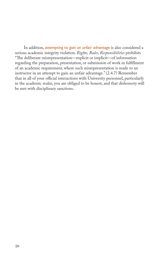In addition, attempting to gain an unfair advantage is also considered a serious academic integrity violation. *Rights, Rules, Responsibilities* prohibits "The deliberate misrepresentation—explicit or implicit—of information regarding the preparation, presentation, or submission of work in fulfillment of an academic requirement, where such misrepresentation is made to an instructor in an attempt to gain an unfair advantage." (2.4.7) Remember that in all of your official interactions with University personnel, particularly in the academic realm, you are obliged to be honest, and that dishonesty will be met with disciplinary sanctions.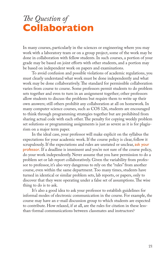# *The Question of*  **Collaboration**

In many courses, particularly in the sciences or engineering where you may work with a laboratory team or on a group project, some of the work may be done in collaboration with fellow students. In such courses, a portion of your grade may be based on joint efforts with other students, and a portion may be based on independent work on papers and examinations.

To avoid confusion and possible violations of academic regulations, you must clearly understand what work must be done independently and what work may be done collaboratively. The standard for permissible collaboration varies from course to course. Some professors permit students to do problem sets together and even to turn in an assignment together; other professors allow students to discuss the problems but require them to write up their own answers; still others prohibit any collaboration at all on homework. In many computer science courses, such as COS 126, students are encouraged to think through programming strategies together but are prohibited from sharing actual code with each other. The penalty for copying weekly problem set solutions or programming assignments is just as severe as it is for plagiarism on a major term paper.

In the ideal case, your professor will make explicit on the syllabus the expectations for your academic work. If the course policy is clear, follow it scrupulously. If the expectations and rules are unstated or unclear, ask your professor. If a deadline is imminent and you're not sure of the course policy, do your work independently. Never assume that you have permission to do a problem set or lab report collaboratively. Given the variability from professor to professor, it's also very dangerous to rely on the "rules" from another course, even within the same department. Too many times, students have turned in identical or similar problem sets, lab reports, or papers, only to discover that they were operating under a false set of assumptions. The wise thing to do is to ask.

It's also a good idea to ask your professor to establish guidelines for informal modes of electronic communication in the course. For example, the course may have an e-mail discussion group to which students are expected to contribute. How relaxed, if at all, are the rules for citation in these lessthan-formal communications between classmates and instructors?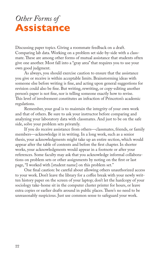## *Other Forms of*  **Assistance**

Discussing paper topics. Giving a roommate feedback on a draft. Comparing lab data. Working on a problem set side-by-side with a classmate. These are among other forms of mutual assistance that students often give one another. Most fall into a "gray area" that requires you to use your own good judgment.

As always, you should exercise caution to ensure that the assistance you give or receive is within acceptable limits. Brainstorming ideas with someone else before writing is fine, and acting upon general suggestions for revision could also be fine. But writing, rewriting, or copy-editing another person's paper is not fine, nor is telling someone exactly how to revise. This level of involvement constitutes an infraction of Princeton's academic regulations.

Remember, your goal is to maintain the integrity of your own work and that of others. Be sure to ask your instructor before comparing and analyzing your laboratory data with classmates. And just to be on the safe side, solve your problem sets privately.

If you do receive assistance from others—classmates, friends, or family members—acknowledge it in writing. In a long work, such as a senior thesis, your acknowledgments might take up an entire section, which would appear after the table of contents and before the first chapter. In shorter works, your acknowledgments would appear in a footnote or after your references. Some faculty may ask that you acknowledge informal collaborations on problem sets or other assignments by noting on the first or last page, "I worked with [student name] on this problem set."

One final caution: be careful about allowing others unauthorized access to your work. Don't leave the library for a coffee break with your newly written history paper on the screen of your laptop; don't let the hardcopy of your sociology take-home sit in the computer cluster printer for hours, or leave extra copies or earlier drafts around in public places. There's no need to be unreasonably suspicious. Just use common sense to safeguard your work.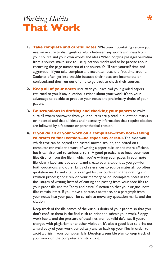# *Working Habits*  **That Work**

- **1. Take complete and careful notes.** Whatever note-taking system you use, make sure to distinguish carefully between any words and ideas from your source and your own words and ideas. When copying passages verbatim from a source, make sure to use quotation marks and to be precise about recording the page number(s) of the source. You'll save yourself time and aggravation if you take complete and accurate notes the first time around. Students often get into trouble because their notes are incomplete or confused, and they run out of time to go back to check their sources.
- **2. Keep all of your notes** until after you have had your graded papers returned to you. If any question is raised about your work, it's to your advantage to be able to produce your notes and preliminary drafts of your papers.
- **3. Be scrupulous in drafting and checking your papers** to make sure all words borrowed from your sources are placed in quotation marks or indented and that all ideas and necessary information that require citation are followed by a footnote or parenthetical citation.
- **4. If you do all of your work on a computer—from note-taking to drafts to final version—be especially careful.** The ease with which text can be copied and pasted, moved around, and edited on a computer can make the work of writing a paper quicker and more efficient, but it can also lead to serious errors. A good practice is to keep your note files distinct from the file in which you're writing your paper. In your note file, clearly label any quotations, and create your citations as you go—for both quotations and other kinds of references to source material. Too often quotation marks and citations can get lost or confused in the drafting and revision process; don't rely on your memory or on incomplete notes in the final stages of writing. Instead of cutting and pasting from your note files to your paper file, use the "copy and paste" function so that your original note files remain intact. If you move a phrase, a sentence, or a paragraph from your notes into your paper, be certain to move any quotation marks and the citation.

Keep track of the file names of the various drafts of your papers so that you don't confuse them in the final rush to print and submit your work. Sloppy work habits and the pressure of deadlines are not valid defenses if you're charged with plagiarism or another violation. It's also a good idea to print out a hard copy of your work periodically and to back up your files in order to avoid a crisis if your computer fails. Develop a sensible plan to keep track of your work on the computer and stick to it.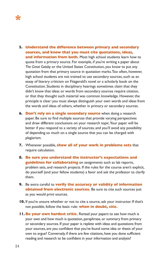- **5. Understand the difference between primary and secondary sources, and know that you must cite quotations, ideas, and information from both.** Most high school students learn how to quote from a primary source. For example, if you're writing a paper about *The Great Gatsby* or the United States Constitution, you know to put any quotation from that primary source in quotation marks. Too often, however, high school students are not trained to use secondary sources, such as an essay of literary criticism on Fitzgerald's novel or a scholarly book on the Constitution. Students in disciplinary hearings sometimes claim that they didn't know that ideas or words from secondary sources require citation, or that they thought such material was common knowledge. However, the principle is clear: you must always distinguish your own words and ideas from the words and ideas of others, whether in primary or secondary sources.
- **6. Don't rely on a single secondary source** when doing a research paper. Be sure to find multiple sources that provide varying perspectives and draw different conclusions on your research topic. Your paper will be better if you respond to a variety of sources, and you'll avoid any possibility of depending so much on a single source that you can be charged with plagiarism.
- **7.** Whenever possible, **show all of your work in problems sets** that require calculation.
- **8. Be sure you understand the instructor's expectations and guidelines for collaborating** on assignments such as lab reports, problem sets, and research projects. If the rules for the course aren't explicit, do yourself (and your fellow students) a favor and ask the professor to clarify them.
- **9.** Be extra careful to **verify the accuracy or validity of information obtained from electronic sources.** Be sure to cite such sources just as you would print sources.
- **10.** If you're unsure whether or not to cite a source, ask your instructor. If that's not possible, follow the basic rule: **when in doubt, cite.**
- **11. Be your own hardest critic.** Reread your papers to see how much is your own and how much is quotation, paraphrase, or summary from primary or secondary sources. If your paper is replete with ideas and quotations from your sources, are you confident that you've found some idea or thesis of your own to argue? Conversely, if there are few citations, have you done sufficient reading and research to be confident in your information and analysis?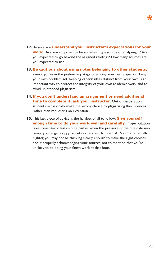- **\***
- **12.** Be sure you **understand your instructor's expectations for your work.** Are you supposed to be summarizing a source or analyzing it? Are you expected to go beyond the assigned readings? How many sources are you expected to use?
- **13. Be cautious about using notes belonging to other students,**  even if you're in the preliminary stage of writing your own paper or doing your own problem set. Keeping others' ideas distinct from your own is an important way to protect the integrity of your own academic work and to avoid unintended plagiarism.
- **14. If you don't understand an assignment or need additional time to complete it, ask your instructor.** Out of desperation, students occasionally make the wrong choice by plagiarizing their sources rather than requesting an extension.
- **15.** This last piece of advice is the hardest of all to follow: **Give yourself enough time to do your work well and carefully.** Proper citation takes time. Avoid last-minute rushes when the pressure of the due date may tempt you to get sloppy or cut corners just to finish. At 5 a.m. after an allnighter, you may not be thinking clearly enough to make the right choices about properly acknowledging your sources, not to mention that you're unlikely to be doing your finest work at that hour.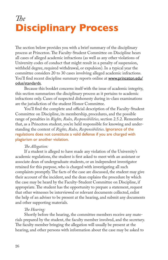# *The*  **Disciplinary Process**

The section below provides you with a brief summary of the disciplinary process at Princeton. The Faculty-Student Committee on Discipline hears all cases of alleged academic infractions (as well as any other violations of University codes of conduct that might result in a penalty of suspension, withheld degree, required withdrawal, or expulsion). In a typical year the committee considers 20 to 30 cases involving alleged academic infractions. You'll find recent discipline summary reports online at [www.princeton.edu/](https://odus.princeton.edu/community-standards) [odus/standards](https://odus.princeton.edu/community-standards).

Because this booklet concerns itself with the issue of academic integrity, this section summarizes the disciplinary process as it pertains to academic infractions only. Cases of suspected dishonesty during in-class examinations are the jurisdiction of the student Honor Committee.

You'll find the complete and official description of the Faculty-Student Committee on Discipline, its membership, procedures, and the possible range of penalties in *Rights, Rules, Responsibilities,* section 2.5.2. Remember that, as a Princeton student, you're held responsible for knowing and understanding the content of *Rights, Rules, Responsibilities*. Ignorance of the regulations does not constitute a valid defense if you are charged with plagiarism or another violation.

#### *The Allegation:*

If a student is alleged to have made any violation of the University's academic regulations, the student is first asked to meet with an assistant or associate dean of undergraduate students, or an independent investigator retained for this purpose, who is charged with investigating all such complaints promptly. The facts of the case are discussed, the student may give their account of the incident, and the dean explains the procedure by which the case may be heard by the Faculty-Student Committee on Discipline, if appropriate. The student has the opportunity to prepare a statement, request that other witnesses be interviewed or relevant documents collected, enlist the help of an adviser to be present at the hearing, and submit any documents and other supporting materials.

#### *The Hearing:*

Shortly before the hearing, the committee members receive any materials prepared by the student, the faculty member involved, and the secretary. The faculty member bringing the allegation will usually be present at the hearing, and other persons with information about the case may be asked to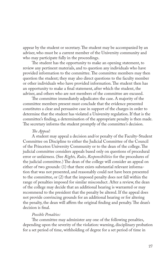appear by the student or secretary. The student may be accompanied by an adviser, who must be a current member of the University community and who may participate fully in the proceedings.

The student has the opportunity to make an opening statement, to review any pertinent materials, and to question any individuals who have provided information to the committee. The committee members may then question the student; they may also direct questions to the faculty member or other individuals who have provided information. The student then has an opportunity to make a final statement, after which the student, the adviser, and others who are not members of the committee are excused.

The committee immediately adjudicates the case. A majority of the committee members present must conclude that the evidence presented constitutes a clear and persuasive case in support of the charges in order to determine that the student has violated a University regulation. If that is the committee's finding, a determination of the appropriate penalty is then made. The secretary informs the student promptly of the committee's decision.

#### *The Appeal:*

A student may appeal a decision and/or penalty of the Faculty-Student Committee on Discipline to either the Judicial Committee of the Council of the Princeton University Community or to the dean of the college. The judicial committee considers appeals based only on questions of procedural error or unfairness. (See *Rights, Rules, Responsibilities* for the procedures of the judicial committee.) The dean of the college will consider an appeal on either of two grounds: (1) that there exists substantial relevant information that was not presented, and reasonably could not have been presented to the committee, or (2) that the imposed penalty does not fall within the range of penalties imposed for similar misconduct. After a review, the dean of the college may decide that an additional hearing is warranted or may recommend to the president that the penalty be altered. If the appeal does not provide convincing grounds for an additional hearing or for altering the penalty, the dean will affirm the original finding and penalty. The dean's decision is final.

#### *Possible Penalties:*

The committee may administer any one of the following penalties, depending upon the severity of the violation: warning, disciplinary probation for a set period of time, withholding of degree for a set period of time in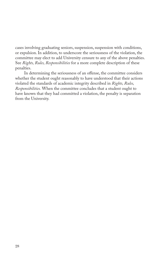cases involving graduating seniors, suspension, suspension with conditions, or expulsion. In addition, to underscore the seriousness of the violation, the committee may elect to add University censure to any of the above penalties. See *Rights, Rules, Responsibilities* for a more complete description of these penalties.

In determining the seriousness of an offense, the committee considers whether the student ought reasonably to have understood that their actions violated the standards of academic integrity described in *Rights, Rules, Responsibilities.* When the committee concludes that a student ought to have known that they had committed a violation, the penalty is separation from the University.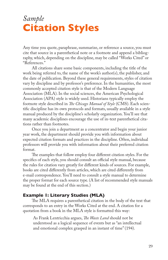## *Sample*  **Citation Styles**

Any time you quote, paraphrase, summarize, or reference a source, you must cite that source in a parenthetical note or a footnote and append a bibliography, which, depending on the discipline, may be called "Works Cited" or "References."

All citations share some basic components, including the title of the work being referred to, the name of the work's author(s), the publisher, and the date of publication. Beyond these general requirements, styles of citation vary by discipline and by professor's preference. In the humanities, the most commonly accepted citation style is that of the Modern Language Association (MLA). In the social sciences, the American Psychological Association (APA) style is widely used. Historians typically employ the footnote style described in *The Chicago Manual of Style* (CMS). Each scientific discipline has its own protocols and formats, usually available in a style manual produced by the discipline's scholarly organization. You'll see that many academic disciplines encourage the use of in-text parenthetical citations rather than footnotes.

Once you join a department as a concentrator and begin your junior year work, the department should provide you with information about expected citation formats and practices in the discipline. Often, individual professors will provide you with information about their preferred citation format.

The examples that follow employ four different citation styles. For the specifics of each style, you should consult an official style manual, because the rules for citation vary greatly for different kinds of sources. For example, books are cited differently from articles, which are cited differently from e-mail correspondence. You'll need to consult a style manual to determine the proper format for each source type. (A list of recommended style manuals may be found at the end of this section.)

## **Example 1: Literary Studies (MLA)**

The MLA requires a parenthetical citation in the body of the text that corresponds to an entry in the Works Cited at the end. A citation for a quotation from a book in the MLA style is formatted this way:

As Frank Lentricchia argues, *The Waste Land* should not be understood as a logical sequence of events but as "an intellectual and emotional complex grasped in an instant of time" (194).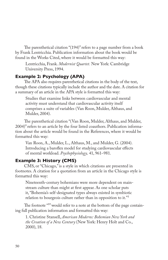The parenthetical citation "(194)" refers to a page number from a book by Frank Lentricchia. Publication information about the book would be found in the Works Cited, where it would be formatted this way:

Lentricchia, Frank. *Modernist Quartet.* New York: Cambridge University Press, 1994.

## **Example 2: Psychology (APA)**

The APA also requires parenthetical citations in the body of the text, though these citations typically include the author and the date. A citation for a summary of an article in the APA style is formatted this way:

Studies that examine links between cardiovascular and mental activity must understand that cardiovascular activity itself comprises a suite of variables (Van Roon, Mulder, Althaus, and Mulder, 2004).

The parenthetical citation "(Van Roon, Mulder, Althaus, and Mulder, 2004)" refers to an article by the four listed coauthors. Publication information about the article would be found in the References, where it would be formatted this way:

Van Roon, A., Mulder, L., Althaus, M., and Mulder, G. (2004). Introducing a baroflex model for studying cardiovascular effects of mental workload. *Psychophysiology,* 41, 961–981.

## **Example 3: History (CMS)**

CMS, or "Chicago," is a style in which citations are presented in footnotes. A citation for a quotation from an article in the Chicago style is formatted this way:

Nineteenth-century bohemians were more dependent on mainstream culture than might at first appear. As one scholar puts it, "Bohemia's self-designated types always existed in symbiotic relation to bourgeois culture rather than in opposition to it."<sup>1</sup>

The footnote "<sup>1</sup>" would refer to a note at the bottom of the page containing full publication information and formatted this way:

1. Christine Stansell, *American Moderns: Bohemian New York and the Creation of a New Century* (New York: Henry Holt and Co., 2000), 18.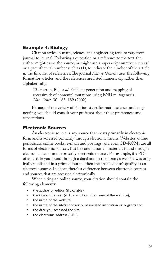### **Example 4: Biology**

Citation styles in math, science, and engineering tend to vary from journal to journal. Following a quotation or a reference to the text, the author might name the source, or might use a superscript number such as  $1$ or a parenthetical number such as (1), to indicate the number of the article in the final list of references. The journal *Nature Genetics* uses the following format for articles, and the references are listed numerically rather than alphabetically:

13. Herron, B. J. *et al.* Efficient generation and mapping of recessive developmental mutations using ENU mutagenesis. *Nat. Genet.* 30, 185–189 (2002).

Because of the variety of citation styles for math, science, and engineering, you should consult your professor about their preferences and expectations.

### **Electronic Sources**

An electronic source is any source that exists primarily in electronic form and is accessed primarily through electronic means. Websites, online periodicals, online books, e-mails and postings, and even CD-ROMs are all forms of electronic sources. But be careful: not all materials found through electronic means are necessarily electronic sources. For example, if a PDF of an article you found through a database on the library's website was originally published in a printed journal, then the article doesn't qualify as an electronic source. In short, there's a difference between electronic sources and sources that are accessed electronically.

When citing an online source, your citation should contain the following elements:

- the author or editor (if available),
- the title of the text (if different from the name of the website),
- the name of the website,
- the name of the site's sponsor or associated institution or organization,
- the date you accessed the site,
- the electronic address (URL).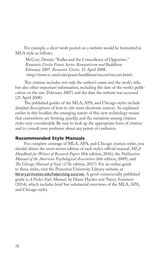For example, a short work posted on a website would be formatted in MLA style as follows:

McCort, Dennis. "Kafka and the Coincidence of Opposites." *Romantic Circles Praxis Series: Romanticism and Buddhism.* February 2007. *Romantic Circles.* 21 April 2008. <http://www.rc.umd.edu/praxis/buddhism/mccort/mccort.html>

This citation includes not only the author's name and the work's title, but also other important information, including the date of the work's publication on the site (February 2007) and the date the website was accessed (21 April 2008).

The published guides of the MLA, APA, and Chicago styles include detailed descriptions of how to cite most electronic sources. As explained earlier in this booklet, the emerging nature of this new technology means that conventions are forming quickly, and the variations among citation styles vary considerably. Be sure to look up the appropriate form of citation and to consult your professor about any points of confusion.

## **Recommended Style Manuals**

For complete coverage of MLA, APA, and Chicago citation styles, you should obtain the most recent edition of each style's official manual: *MLA Handbook for Writers of Research Papers* (8th edition, 2016), the *Publication Manual of the American Psychological Association* (6th edition, 2009), and *The Chicago Manual of Style* (17th edition, 2017). For an online guide to these styles, visit the Princeton University Library website, at [library.princeton.edu/help/citing-sources](http://library.princeton.edu/help/citing-sources). A good commercially published guide is *A Pocket Style Manual,* by Diana Hacker and Nancy Sommers (2014), which includes brief but substantial overviews of the MLA, APA, and Chicago styles.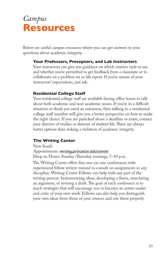# *Campus* **Resources**

Below are useful campus resources where you can get answers to your questions about academic integrity.

### **Your Professors, Preceptors, and Lab Instructors**

Your instructors can give you guidance on which citation style to use and whether you're permitted to get feedback from a classmate or to collaborate on a problem set or lab report. If you're unsure of your instructors' expectations, just ask.

### **Residential College Staff**

Your residential college staff are available during office hours to talk about both academic and non-academic issues. If you're in a difficult situation or think you need an extension, then talking to a residential college staff member will give you a better perspective on how to make the right choice. If you are panicked about a deadline or exam, contact your director of studies or director of student life. There are always better options than risking a violation of academic integrity.

### **The Writing Center**

New South Appointments: <writing.princeton.edu/center> Drop-in Hours: Sunday–Thursday evenings, 7–10 p.m.

The Writing Center offers free one-on-one conferences with experienced fellow writers trained to consult on assignments in any discipline. Writing Center Fellows can help with any part of the writing process: brainstorming ideas, developing a thesis, structuring an argument, or revising a draft. The goal of each conference is to teach strategies that will encourage you to become an astute reader and critic of your own work. Fellows can also help you distinguish your own ideas from those of your sources and cite them properly.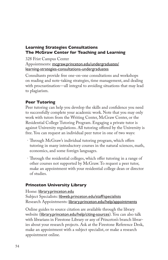## **Learning Strategies Consultations The McGraw Center for Teaching and Learning**

328 Frist Campus Center

Appointments: [mcgraw.princeton.edu/undergraduates/](mcgraw.princeton.edu/undergraduates/learning-strategies-consultations-undergraduates) [learning-strategies-consultations-undergraduates](mcgraw.princeton.edu/undergraduates/learning-strategies-consultations-undergraduates)

Consultants provide free one-on-one consultations and workshops on reading and note-taking strategies, time management, and dealing with procrastination—all integral to avoiding situations that may lead to plagiarism.

## **Peer Tutoring**

Peer tutoring can help you develop the skills and confidence you need to successfully complete your academic work. Note that you may only work with tutors from the Writing Center, McGraw Center, or the Residential College Tutoring Program. Engaging a private tutor is against University regulations. All tutoring offered by the University is free. You can request an individual peer tutor in one of two ways:

- · Through McGraw's individual tutoring program, which offers tutoring in many introductory courses in the natural sciences, math, economics, and some foreign languages.
- · Through the residential colleges, which offer tutoring in a range of other courses not supported by McGraw. To request a peer tutor, make an appointment with your residential college dean or director of studies.

## **Princeton University Library**

Home: [library.princeton.edu](http://library.princeton.edu) Subject Specialists: <libweb.princeton.edu/staff/specialists> Research Appointments: <library.princeton.edu/help/appointments>

Online guides to source citation are available through the library website (<library.princeton.edu/help/citing-sources>). You can also talk with librarians in Firestone Library or any of Princeton's branch libraries about your research projects. Ask at the Firestone Reference Desk, make an appointment with a subject specialist, or make a research appointment online.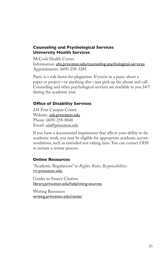### **Counseling and Psychological Services University Health Services**

McCosh Health Center Information: <uhs.princeton.edu/counseling-psychological-services> Appointments: (609) 258-3285

Panic is a risk factor for plagiarism. If you're in a panic about a paper or project—or anything else—just pick up the phone and call. Counseling and other psychological services are available to you 24/7 during the academic year.

## **Office of Disability Services**

241 Frist Campus Center Website: <ods.princeton.edu> Phone: (609) 258-8840 Email:<ods@princeton.edu>

If you have a documented impairment that affects your ability to do academic work, you may be eligible for appropriate academic accommodations, such as extended test-taking time. You can contact ODS to initiate a review process.

### **Online Resources**

"Academic Regulations" in *Rights, Rules, Responsibilities* <rrr.princeton.edu>

Guides to Source Citation <library.princeton.edu/help/citing-sources>

Writing Resources <writing.princeton.edu/center>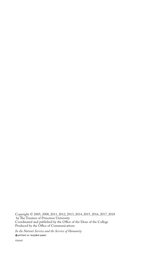Copyright © 2005, 2008, 2011, 2012, 2013, 2014, 2015, 2016, 2017, 2018 by The Trustees of Princeton University Coordinated and published by the Office of the Dean of the College Produced by the Office of Communications

*In the Nation's Service and the Service of Humanity*

950045